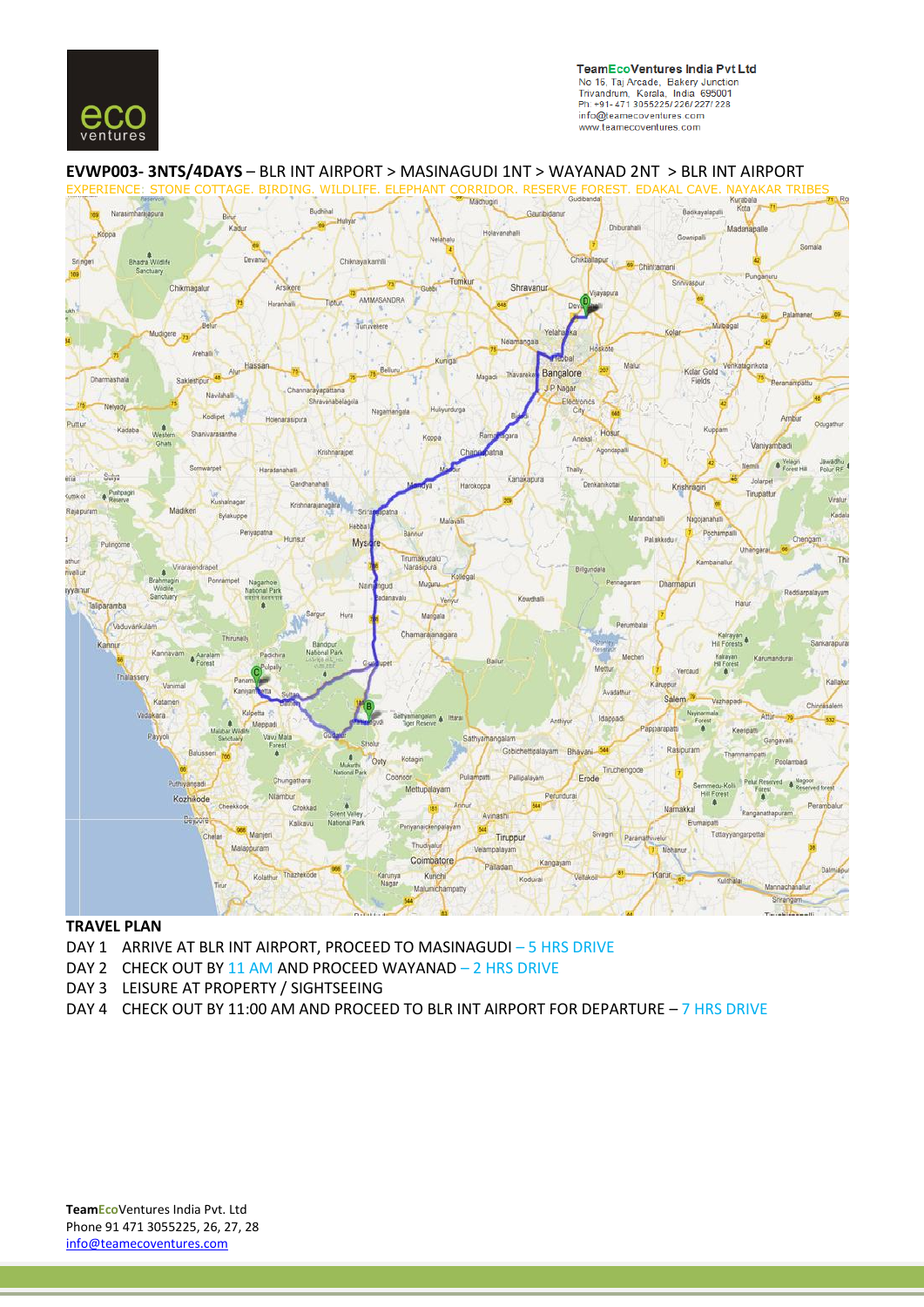



# **EVWP003- 3NTS/4DAYS** – BLR INT AIRPORT > MASINAGUDI 1NT > WAYANAD 2NT > BLR INT AIRPORT

## **TRAVEL PLAN**

- DAY 1 ARRIVE AT BLR INT AIRPORT, PROCEED TO MASINAGUDI 5 HRS DRIVE
- DAY 2 CHECK OUT BY 11 AM AND PROCEED WAYANAD 2 HRS DRIVE
- DAY 3 LEISURE AT PROPERTY / SIGHTSEEING
- DAY 4 CHECK OUT BY 11:00 AM AND PROCEED TO BLR INT AIRPORT FOR DEPARTURE 7 HRS DRIVE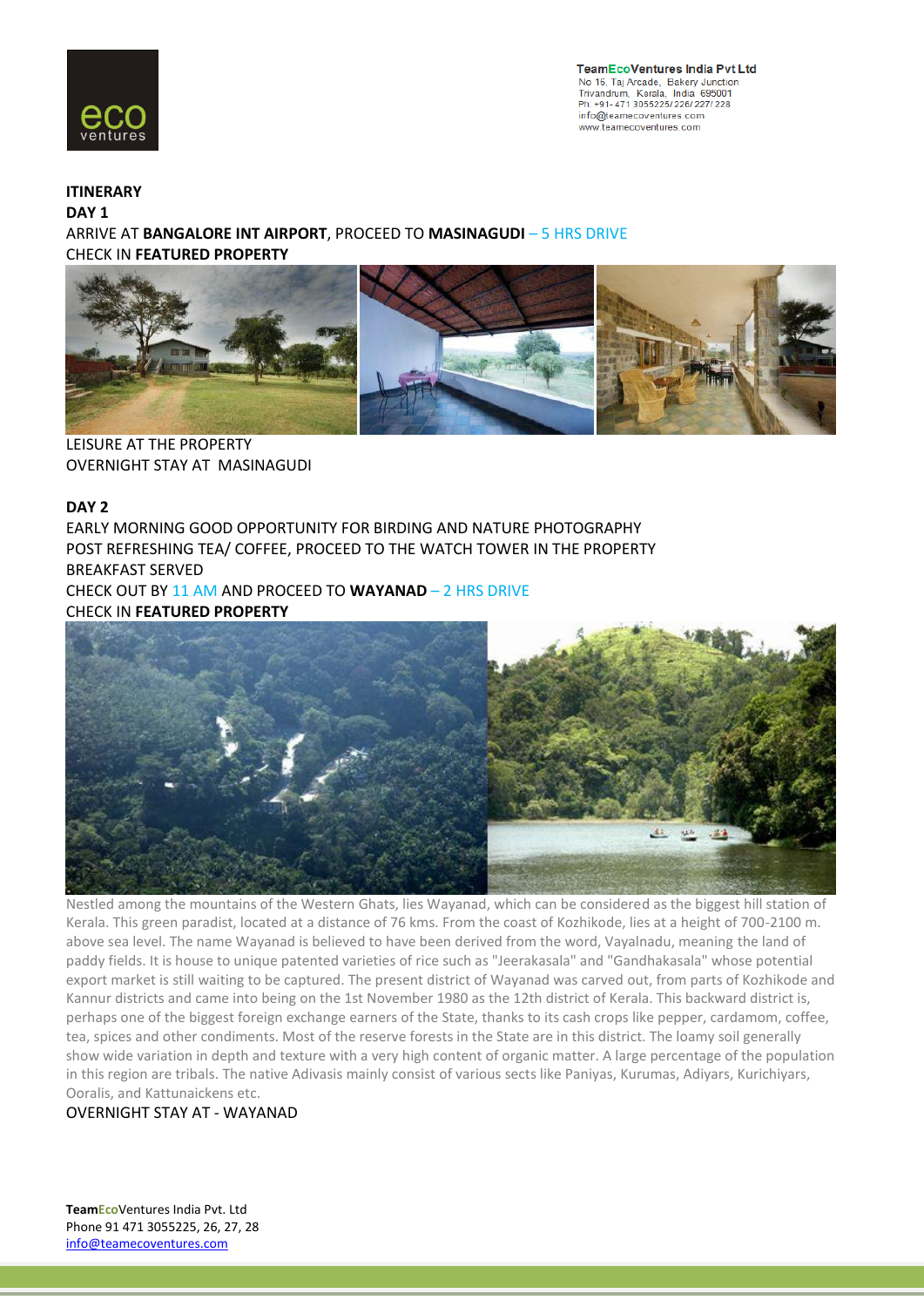

**TeamEcoVentures India Pvt Ltd** No 16, Taj Arcade, Bakery Junction<br>Trivandrum, Kerala, India 695001 Ph: +91-471 3055225/226/227/228 info@teamecoventures.com www.teamecoventures.com

## **ITINERARY**

**DAY 1**

ARRIVE AT **BANGALORE INT AIRPORT**, PROCEED TO **MASINAGUDI** – 5 HRS DRIVE CHECK IN **FEATURED PROPERTY**



LEISURE AT THE PROPERTY OVERNIGHT STAY AT MASINAGUDI

## **DAY 2**

EARLY MORNING GOOD OPPORTUNITY FOR BIRDING AND NATURE PHOTOGRAPHY POST REFRESHING TEA/ COFFEE, PROCEED TO THE WATCH TOWER IN THE PROPERTY BREAKFAST SERVED

CHECK OUT BY 11 AM AND PROCEED TO **WAYANAD** – 2 HRS DRIVE CHECK IN **FEATURED PROPERTY**



Nestled among the mountains of the Western Ghats, lies Wayanad, which can be considered as the biggest hill station of Kerala. This green paradist, located at a distance of 76 kms. From the coast of Kozhikode, lies at a height of 700-2100 m. above sea level. The name Wayanad is believed to have been derived from the word, Vayalnadu, meaning the land of paddy fields. It is house to unique patented varieties of rice such as "Jeerakasala" and "Gandhakasala" whose potential export market is still waiting to be captured. The present district of Wayanad was carved out, from parts of Kozhikode and Kannur districts and came into being on the 1st November 1980 as the 12th district of Kerala. This backward district is, perhaps one of the biggest foreign exchange earners of the State, thanks to its cash crops like pepper, cardamom, coffee, tea, spices and other condiments. Most of the reserve forests in the State are in this district. The loamy soil generally show wide variation in depth and texture with a very high content of organic matter. A large percentage of the population in this region are tribals. The native Adivasis mainly consist of various sects like Paniyas, Kurumas, Adiyars, Kurichiyars, Ooralis, and Kattunaickens etc.

OVERNIGHT STAY AT - WAYANAD

**TeamEco**Ventures India Pvt. Ltd Phone 91 471 3055225, 26, 27, 28 info@teamecoventures.com